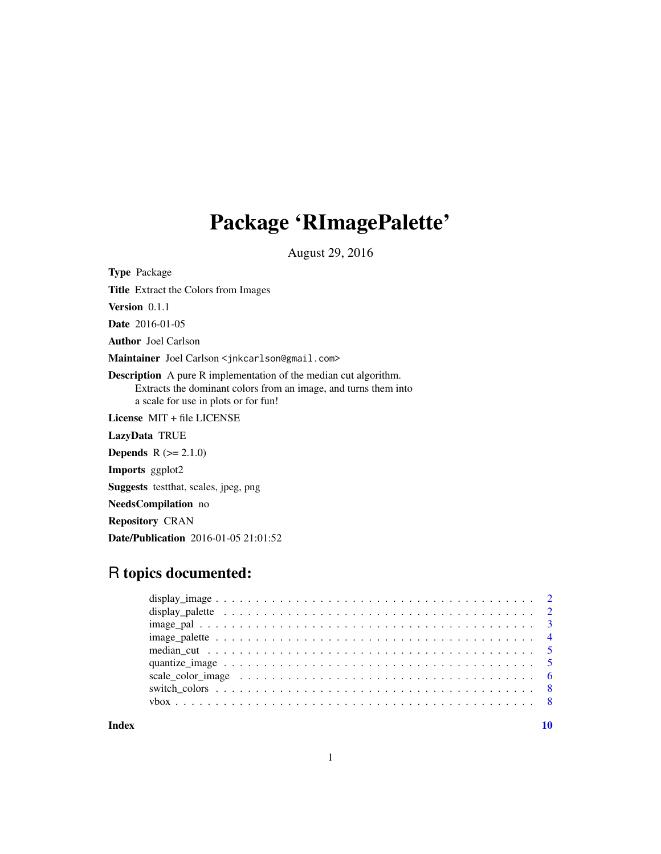# Package 'RImagePalette'

August 29, 2016

<span id="page-0-0"></span>Type Package Title Extract the Colors from Images Version 0.1.1 Date 2016-01-05 Author Joel Carlson Maintainer Joel Carlson <jnkcarlson@gmail.com> Description A pure R implementation of the median cut algorithm. Extracts the dominant colors from an image, and turns them into a scale for use in plots or for fun! License MIT + file LICENSE LazyData TRUE **Depends**  $R (= 2.1.0)$ Imports ggplot2 Suggests testthat, scales, jpeg, png NeedsCompilation no Repository CRAN Date/Publication 2016-01-05 21:01:52

# R topics documented:

 $\blacksquare$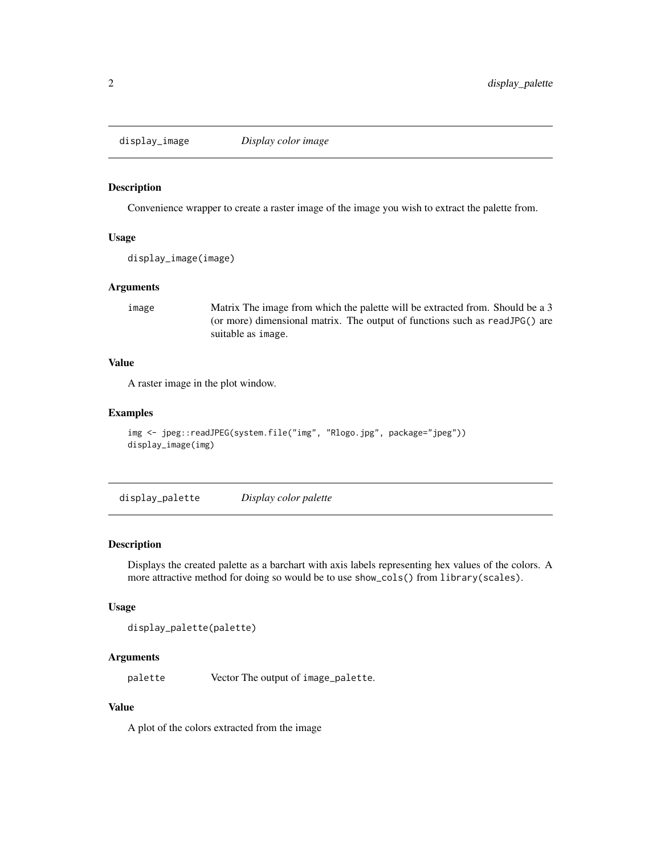<span id="page-1-1"></span><span id="page-1-0"></span>display\_image *Display color image*

#### Description

Convenience wrapper to create a raster image of the image you wish to extract the palette from.

## Usage

```
display_image(image)
```
#### Arguments

image Matrix The image from which the palette will be extracted from. Should be a 3 (or more) dimensional matrix. The output of functions such as readJPG() are suitable as image.

# Value

A raster image in the plot window.

#### Examples

```
img <- jpeg::readJPEG(system.file("img", "Rlogo.jpg", package="jpeg"))
display_image(img)
```
display\_palette *Display color palette*

# Description

Displays the created palette as a barchart with axis labels representing hex values of the colors. A more attractive method for doing so would be to use show\_cols() from library(scales).

#### Usage

```
display_palette(palette)
```
#### Arguments

palette Vector The output of image\_palette.

# Value

A plot of the colors extracted from the image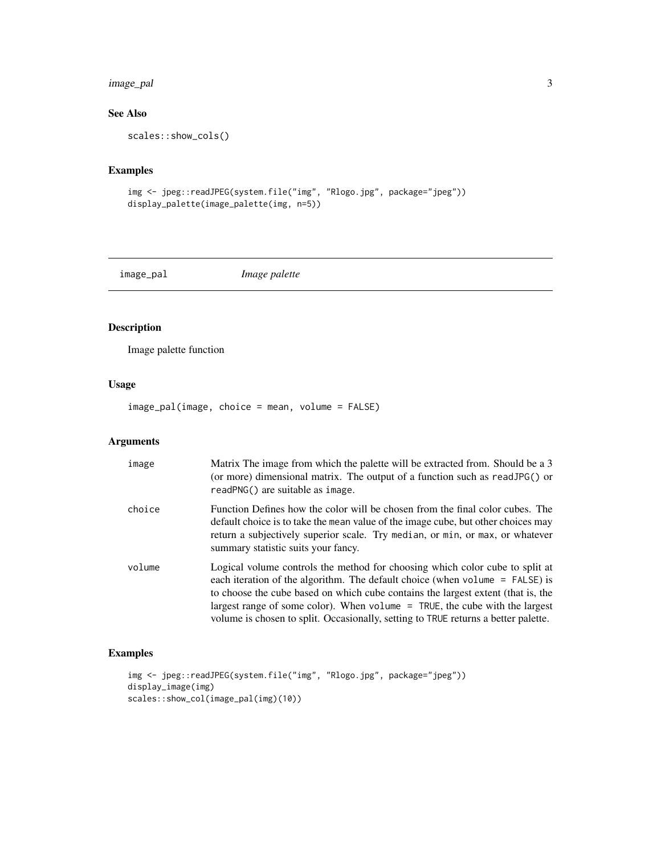# <span id="page-2-0"></span>image\_pal 3

# See Also

```
scales::show_cols()
```
# Examples

```
img <- jpeg::readJPEG(system.file("img", "Rlogo.jpg", package="jpeg"))
display_palette(image_palette(img, n=5))
```
image\_pal *Image palette*

# Description

Image palette function

# Usage

image\_pal(image, choice = mean, volume = FALSE)

# Arguments

| image  | Matrix The image from which the palette will be extracted from. Should be a 3<br>(or more) dimensional matrix. The output of a function such as readJPG() or<br>readPNG() are suitable as image.                                                                                                                                                                                                                        |
|--------|-------------------------------------------------------------------------------------------------------------------------------------------------------------------------------------------------------------------------------------------------------------------------------------------------------------------------------------------------------------------------------------------------------------------------|
| choice | Function Defines how the color will be chosen from the final color cubes. The<br>default choice is to take the mean value of the image cube, but other choices may<br>return a subjectively superior scale. Try median, or min, or max, or whatever<br>summary statistic suits your fancy.                                                                                                                              |
| volume | Logical volume controls the method for choosing which color cube to split at<br>each iteration of the algorithm. The default choice (when volume = FALSE) is<br>to choose the cube based on which cube contains the largest extent (that is, the<br>largest range of some color). When volume $=$ TRUE, the cube with the largest<br>volume is chosen to split. Occasionally, setting to TRUE returns a better palette. |

# Examples

```
img <- jpeg::readJPEG(system.file("img", "Rlogo.jpg", package="jpeg"))
display_image(img)
scales::show_col(image_pal(img)(10))
```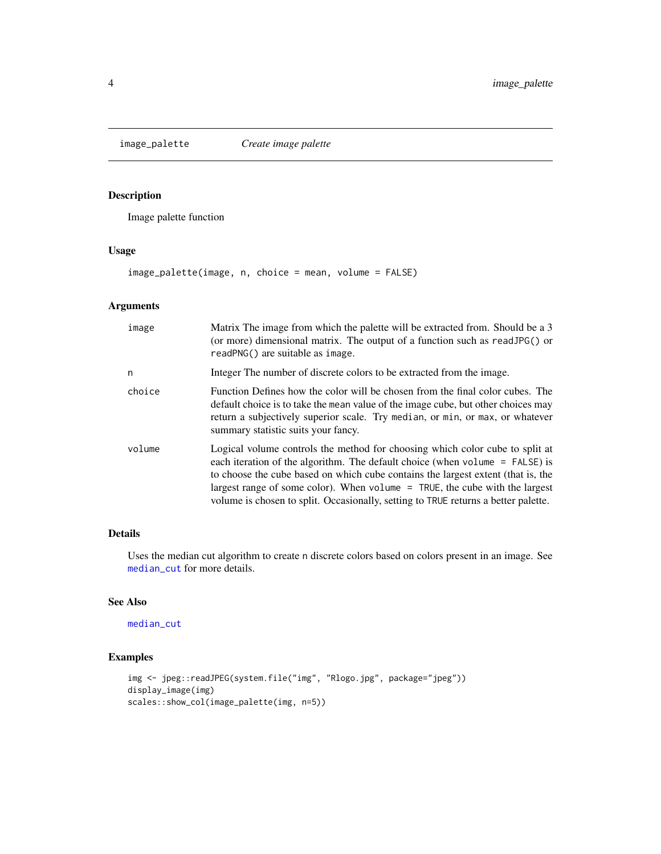<span id="page-3-1"></span><span id="page-3-0"></span>

# Description

Image palette function

## Usage

image\_palette(image, n, choice = mean, volume = FALSE)

# Arguments

| image  | Matrix The image from which the palette will be extracted from. Should be a 3<br>(or more) dimensional matrix. The output of a function such as readJPG() or<br>readPNG() are suitable as image.                                                                                                                                                                                                                        |
|--------|-------------------------------------------------------------------------------------------------------------------------------------------------------------------------------------------------------------------------------------------------------------------------------------------------------------------------------------------------------------------------------------------------------------------------|
| n      | Integer The number of discrete colors to be extracted from the image.                                                                                                                                                                                                                                                                                                                                                   |
| choice | Function Defines how the color will be chosen from the final color cubes. The<br>default choice is to take the mean value of the image cube, but other choices may<br>return a subjectively superior scale. Try median, or min, or max, or whatever<br>summary statistic suits your fancy.                                                                                                                              |
| volume | Logical volume controls the method for choosing which color cube to split at<br>each iteration of the algorithm. The default choice (when volume = FALSE) is<br>to choose the cube based on which cube contains the largest extent (that is, the<br>largest range of some color). When volume $=$ TRUE, the cube with the largest<br>volume is chosen to split. Occasionally, setting to TRUE returns a better palette. |

# Details

Uses the median cut algorithm to create n discrete colors based on colors present in an image. See [median\\_cut](#page-4-1) for more details.

# See Also

[median\\_cut](#page-4-1)

# Examples

```
img <- jpeg::readJPEG(system.file("img", "Rlogo.jpg", package="jpeg"))
display_image(img)
scales::show_col(image_palette(img, n=5))
```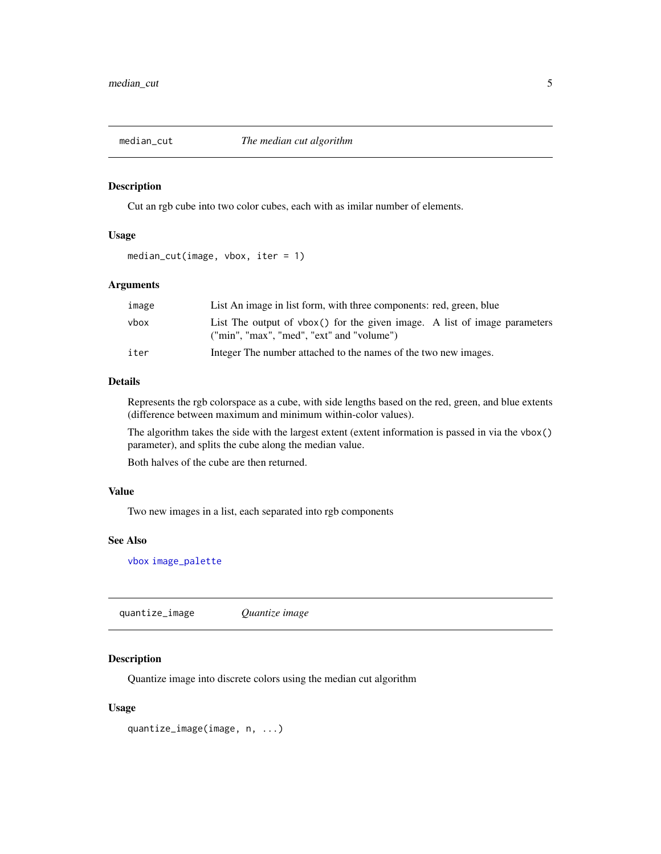<span id="page-4-1"></span><span id="page-4-0"></span>

#### Description

Cut an rgb cube into two color cubes, each with as imilar number of elements.

#### Usage

```
median_cut(image, vbox, iter = 1)
```
# Arguments

| image | List An image in list form, with three components: red, green, blue                                                    |
|-------|------------------------------------------------------------------------------------------------------------------------|
| vbox  | List The output of vbox() for the given image. A list of image parameters<br>("min", "max", "med", "ext" and "volume") |
| iter  | Integer The number attached to the names of the two new images.                                                        |

#### Details

Represents the rgb colorspace as a cube, with side lengths based on the red, green, and blue extents (difference between maximum and minimum within-color values).

The algorithm takes the side with the largest extent (extent information is passed in via the vbox() parameter), and splits the cube along the median value.

Both halves of the cube are then returned.

## Value

Two new images in a list, each separated into rgb components

#### See Also

[vbox](#page-7-1) [image\\_palette](#page-3-1)

quantize\_image *Quantize image*

# Description

Quantize image into discrete colors using the median cut algorithm

#### Usage

```
quantize_image(image, n, ...)
```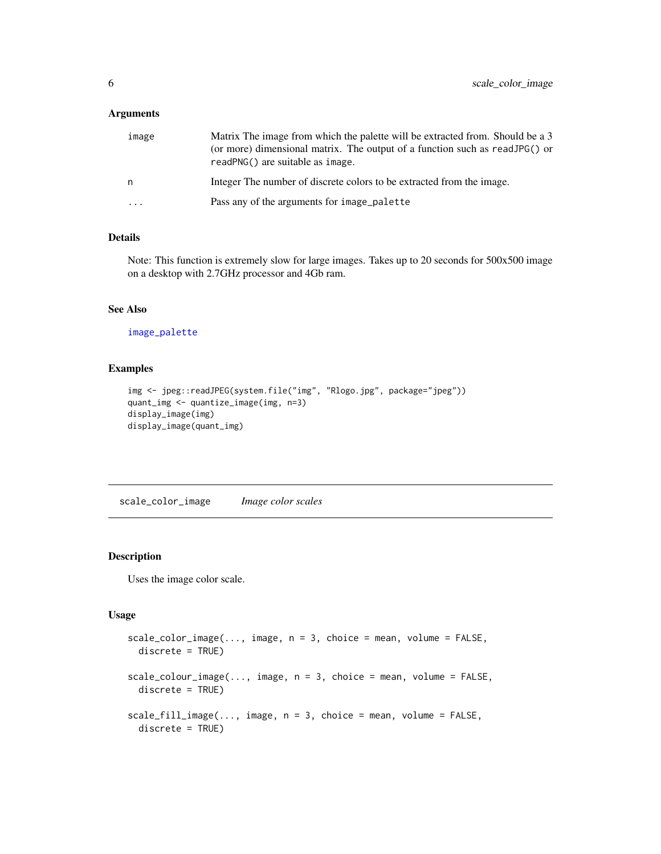#### <span id="page-5-0"></span>Arguments

| image    | Matrix The image from which the palette will be extracted from. Should be a 3<br>(or more) dimensional matrix. The output of a function such as readJPG() or<br>readPNG() are suitable as image. |
|----------|--------------------------------------------------------------------------------------------------------------------------------------------------------------------------------------------------|
| n        | Integer The number of discrete colors to be extracted from the image.                                                                                                                            |
| $\cdots$ | Pass any of the arguments for image_palette                                                                                                                                                      |

# Details

Note: This function is extremely slow for large images. Takes up to 20 seconds for 500x500 image on a desktop with 2.7GHz processor and 4Gb ram.

# See Also

[image\\_palette](#page-3-1)

## Examples

```
img <- jpeg::readJPEG(system.file("img", "Rlogo.jpg", package="jpeg"))
quant_img <- quantize_image(img, n=3)
display_image(img)
display_image(quant_img)
```
scale\_color\_image *Image color scales*

# Description

Uses the image color scale.

#### Usage

```
scale\_color\_image(..., image, n = 3, choice = mean, volume = FALSE,discrete = TRUE)
scale\_colour\_image(..., image, n = 3, choice = mean, volume = FALSE,discrete = TRUE)
scale_fill_image(..., image, n = 3, choice = mean, volume = FALSE,
  discrete = TRUE)
```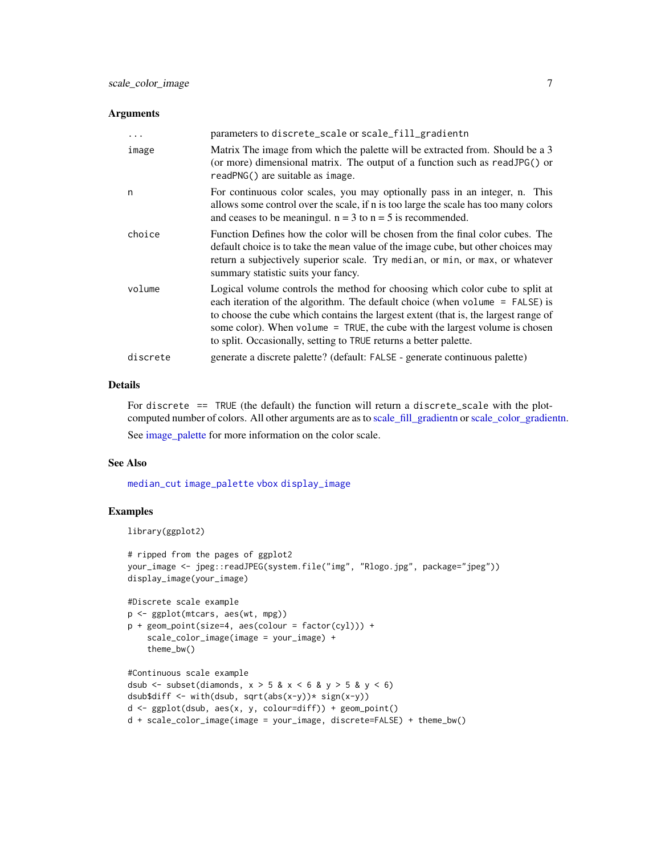#### <span id="page-6-0"></span>Arguments

| .        | parameters to discrete_scale or scale_fill_gradientn                                                                                                                                                                                                                                                                                                                                                      |
|----------|-----------------------------------------------------------------------------------------------------------------------------------------------------------------------------------------------------------------------------------------------------------------------------------------------------------------------------------------------------------------------------------------------------------|
| image    | Matrix The image from which the palette will be extracted from. Should be a 3<br>(or more) dimensional matrix. The output of a function such as readJPG() or<br>readPNG() are suitable as image.                                                                                                                                                                                                          |
| n        | For continuous color scales, you may optionally pass in an integer, n. This<br>allows some control over the scale, if n is too large the scale has too many colors<br>and ceases to be meaningul. $n = 3$ to $n = 5$ is recommended.                                                                                                                                                                      |
| choice   | Function Defines how the color will be chosen from the final color cubes. The<br>default choice is to take the mean value of the image cube, but other choices may<br>return a subjectively superior scale. Try median, or min, or max, or whatever<br>summary statistic suits your fancy.                                                                                                                |
| volume   | Logical volume controls the method for choosing which color cube to split at<br>each iteration of the algorithm. The default choice (when volume $=$ FALSE) is<br>to choose the cube which contains the largest extent (that is, the largest range of<br>some color). When volume = TRUE, the cube with the largest volume is chosen<br>to split. Occasionally, setting to TRUE returns a better palette. |
| discrete | generate a discrete palette? (default: FALSE - generate continuous palette)                                                                                                                                                                                                                                                                                                                               |

# Details

For discrete == TRUE (the default) the function will return a discrete\_scale with the plotcomputed number of colors. All other arguments are as to [scale\\_fill\\_gradientn](#page-0-0) or[scale\\_color\\_gradientn.](#page-0-0) See [image\\_palette](#page-3-1) for more information on the color scale.

# See Also

[median\\_cut](#page-4-1) [image\\_palette](#page-3-1) [vbox](#page-7-1) [display\\_image](#page-1-1)

#### Examples

```
library(ggplot2)
```

```
# ripped from the pages of ggplot2
your_image <- jpeg::readJPEG(system.file("img", "Rlogo.jpg", package="jpeg"))
display_image(your_image)
```

```
#Discrete scale example
p <- ggplot(mtcars, aes(wt, mpg))
p + geom\_point(size=4, aes(colour = factor(cyl))) +scale_color_image(image = your_image) +
    theme_bw()
```

```
#Continuous scale example
dsub \le subset(diamonds, x > 5 & x < 6 & y > 5 & y < 6)
dsub$diff <- with(dsub, sqrt(abs(x-y))* sign(x-y))
d \leq ggplot(dsub, aes(x, y, colour=diff)) + geom_point()
d + scale_color_image(image = your_image, discrete=FALSE) + theme_bw()
```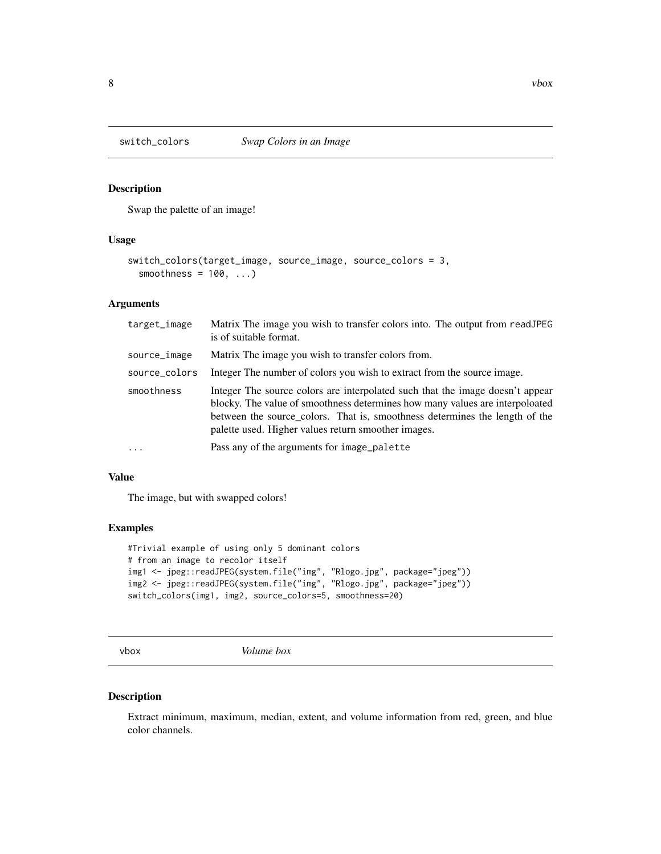<span id="page-7-0"></span>

# Description

Swap the palette of an image!

#### Usage

```
switch_colors(target_image, source_image, source_colors = 3,
  smoothness = 100, ...
```
## Arguments

| target_image  | Matrix The image you wish to transfer colors into. The output from readJPEG<br>is of suitable format.                                                                                                                                                                                               |
|---------------|-----------------------------------------------------------------------------------------------------------------------------------------------------------------------------------------------------------------------------------------------------------------------------------------------------|
| source_image  | Matrix The image you wish to transfer colors from.                                                                                                                                                                                                                                                  |
| source_colors | Integer The number of colors you wish to extract from the source image.                                                                                                                                                                                                                             |
| smoothness    | Integer The source colors are interpolated such that the image doesn't appear<br>blocky. The value of smoothness determines how many values are interpoloated<br>between the source colors. That is, smoothness determines the length of the<br>palette used. Higher values return smoother images. |
| $\cdots$      | Pass any of the arguments for image_palette                                                                                                                                                                                                                                                         |

#### Value

The image, but with swapped colors!

# Examples

```
#Trivial example of using only 5 dominant colors
# from an image to recolor itself
img1 <- jpeg::readJPEG(system.file("img", "Rlogo.jpg", package="jpeg"))
img2 <- jpeg::readJPEG(system.file("img", "Rlogo.jpg", package="jpeg"))
switch_colors(img1, img2, source_colors=5, smoothness=20)
```
<span id="page-7-1"></span>vbox *Volume box*

#### Description

Extract minimum, maximum, median, extent, and volume information from red, green, and blue color channels.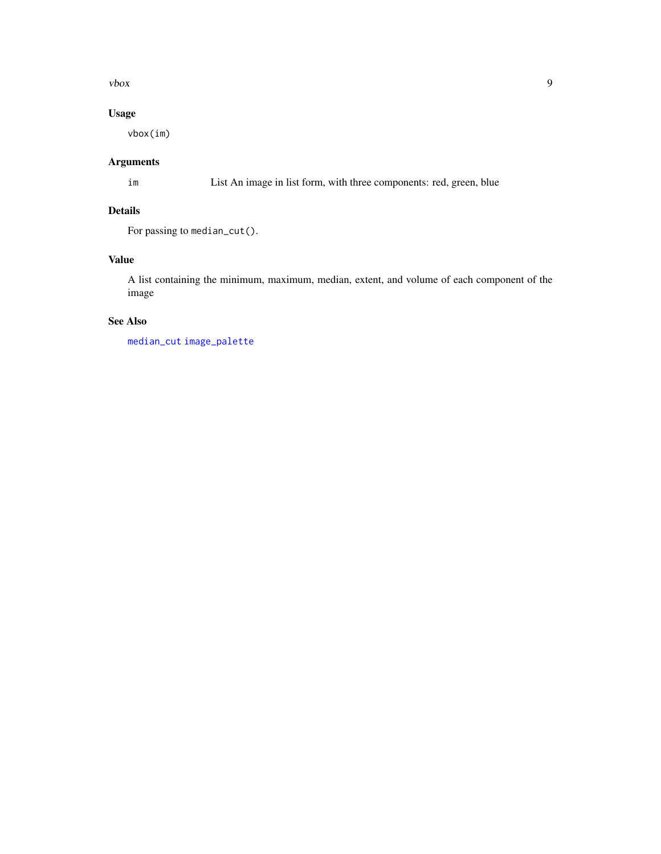<span id="page-8-0"></span> $\sqrt{9}$ 

# Usage

vbox(im)

# Arguments

im List An image in list form, with three components: red, green, blue

# Details

For passing to median\_cut().

## Value

A list containing the minimum, maximum, median, extent, and volume of each component of the image

# See Also

[median\\_cut](#page-4-1) [image\\_palette](#page-3-1)